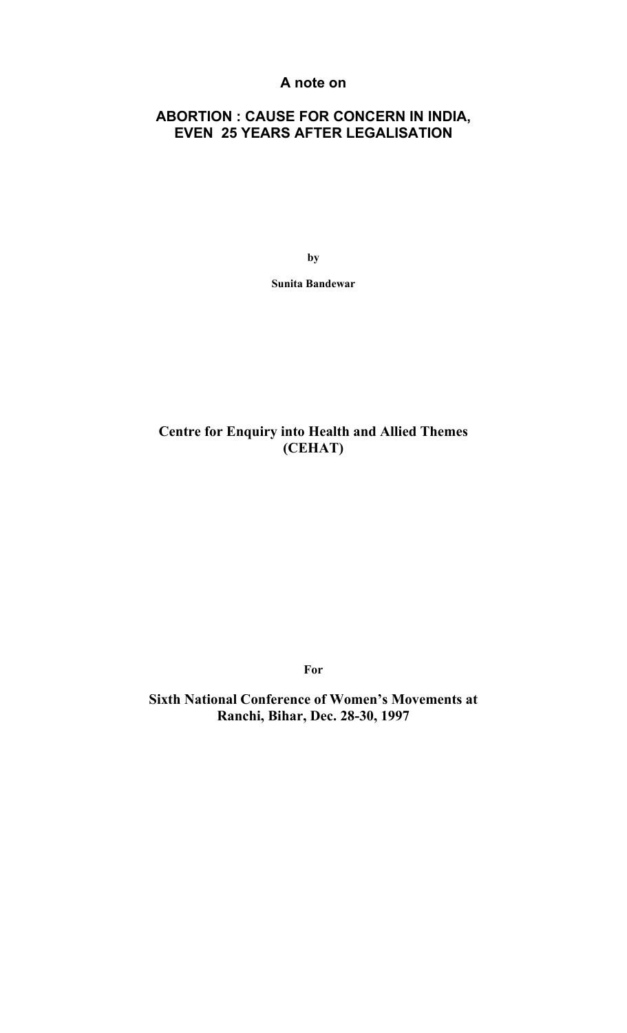# **A note on**

# **ABORTION : CAUSE FOR CONCERN IN INDIA, EVEN 25 YEARS AFTER LEGALISATION**

**by** 

**Sunita Bandewar** 

**Centre for Enquiry into Health and Allied Themes (CEHAT)** 

**For** 

**Sixth National Conference of Women's Movements at Ranchi, Bihar, Dec. 28-30, 1997**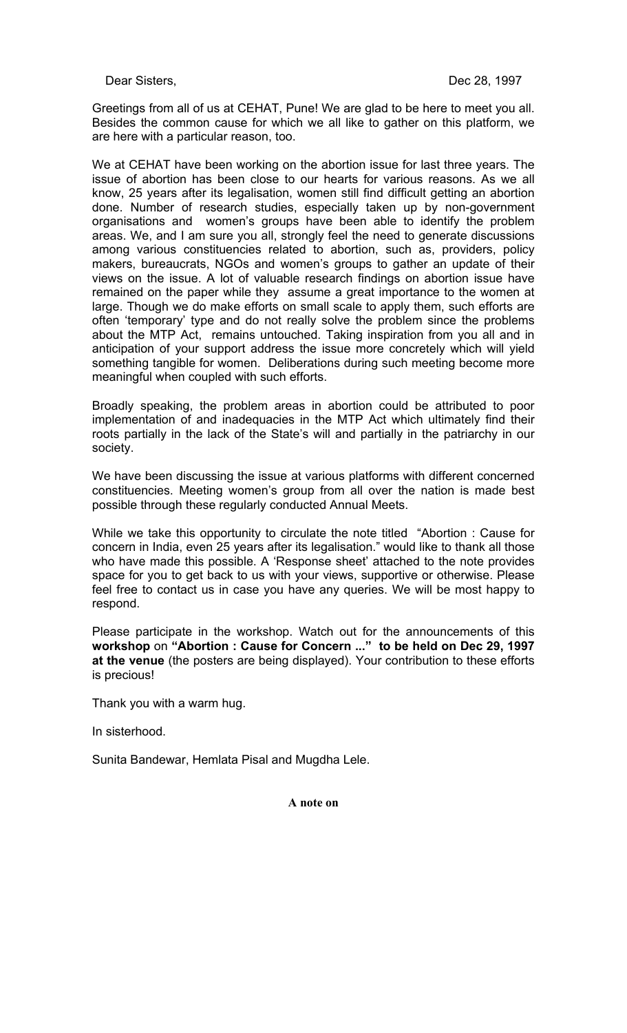Dear Sisters, Dec 28, 1997

Greetings from all of us at CEHAT, Pune! We are glad to be here to meet you all. Besides the common cause for which we all like to gather on this platform, we are here with a particular reason, too.

We at CEHAT have been working on the abortion issue for last three years. The issue of abortion has been close to our hearts for various reasons. As we all know, 25 years after its legalisation, women still find difficult getting an abortion done. Number of research studies, especially taken up by non-government organisations and women's groups have been able to identify the problem areas. We, and I am sure you all, strongly feel the need to generate discussions among various constituencies related to abortion, such as, providers, policy makers, bureaucrats, NGOs and women's groups to gather an update of their views on the issue. A lot of valuable research findings on abortion issue have remained on the paper while they assume a great importance to the women at large. Though we do make efforts on small scale to apply them, such efforts are often 'temporary' type and do not really solve the problem since the problems about the MTP Act, remains untouched. Taking inspiration from you all and in anticipation of your support address the issue more concretely which will yield something tangible for women. Deliberations during such meeting become more meaningful when coupled with such efforts.

Broadly speaking, the problem areas in abortion could be attributed to poor implementation of and inadequacies in the MTP Act which ultimately find their roots partially in the lack of the State's will and partially in the patriarchy in our society.

We have been discussing the issue at various platforms with different concerned constituencies. Meeting women's group from all over the nation is made best possible through these regularly conducted Annual Meets.

While we take this opportunity to circulate the note titled "Abortion : Cause for concern in India, even 25 years after its legalisation." would like to thank all those who have made this possible. A 'Response sheet' attached to the note provides space for you to get back to us with your views, supportive or otherwise. Please feel free to contact us in case you have any queries. We will be most happy to respond.

Please participate in the workshop. Watch out for the announcements of this **workshop** on **"Abortion : Cause for Concern ..." to be held on Dec 29, 1997 at the venue** (the posters are being displayed). Your contribution to these efforts is precious!

Thank you with a warm hug.

In sisterhood.

Sunita Bandewar, Hemlata Pisal and Mugdha Lele.

**A note on**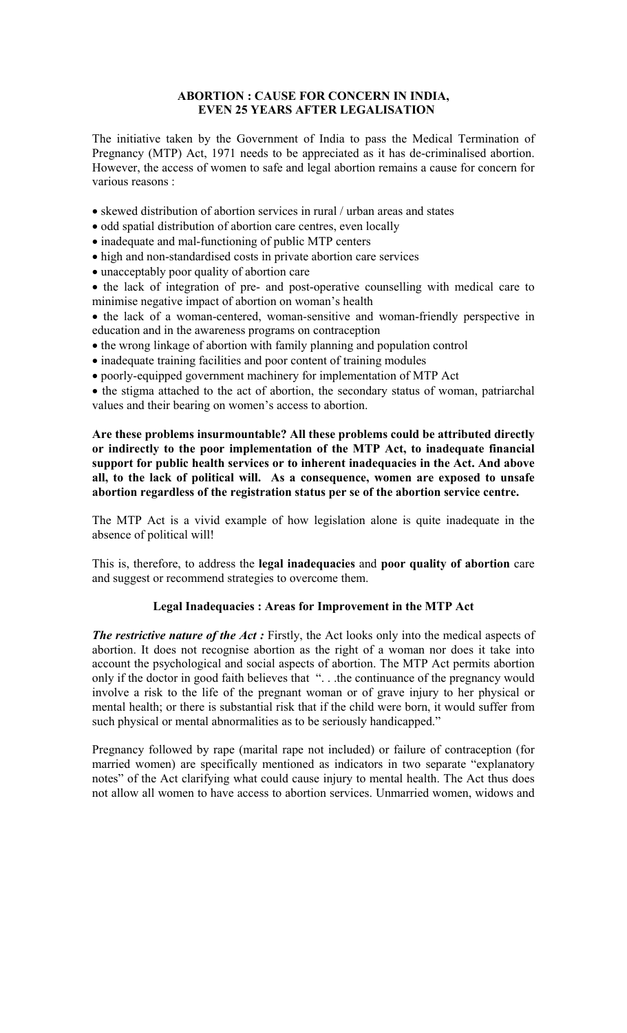#### **ABORTION : CAUSE FOR CONCERN IN INDIA, EVEN 25 YEARS AFTER LEGALISATION**

The initiative taken by the Government of India to pass the Medical Termination of Pregnancy (MTP) Act, 1971 needs to be appreciated as it has de-criminalised abortion. However, the access of women to safe and legal abortion remains a cause for concern for various reasons :

- skewed distribution of abortion services in rural / urban areas and states
- odd spatial distribution of abortion care centres, even locally
- inadequate and mal-functioning of public MTP centers
- high and non-standardised costs in private abortion care services
- unacceptably poor quality of abortion care

• the lack of integration of pre- and post-operative counselling with medical care to minimise negative impact of abortion on woman's health

• the lack of a woman-centered, woman-sensitive and woman-friendly perspective in education and in the awareness programs on contraception

- the wrong linkage of abortion with family planning and population control
- inadequate training facilities and poor content of training modules
- poorly-equipped government machinery for implementation of MTP Act

• the stigma attached to the act of abortion, the secondary status of woman, patriarchal values and their bearing on women's access to abortion.

#### **Are these problems insurmountable? All these problems could be attributed directly or indirectly to the poor implementation of the MTP Act, to inadequate financial support for public health services or to inherent inadequacies in the Act. And above all, to the lack of political will. As a consequence, women are exposed to unsafe abortion regardless of the registration status per se of the abortion service centre.**

The MTP Act is a vivid example of how legislation alone is quite inadequate in the absence of political will!

This is, therefore, to address the **legal inadequacies** and **poor quality of abortion** care and suggest or recommend strategies to overcome them.

#### **Legal Inadequacies : Areas for Improvement in the MTP Act**

**The restrictive nature of the Act :** Firstly, the Act looks only into the medical aspects of abortion. It does not recognise abortion as the right of a woman nor does it take into account the psychological and social aspects of abortion. The MTP Act permits abortion only if the doctor in good faith believes that ". . .the continuance of the pregnancy would involve a risk to the life of the pregnant woman or of grave injury to her physical or mental health; or there is substantial risk that if the child were born, it would suffer from such physical or mental abnormalities as to be seriously handicapped."

Pregnancy followed by rape (marital rape not included) or failure of contraception (for married women) are specifically mentioned as indicators in two separate "explanatory notes" of the Act clarifying what could cause injury to mental health. The Act thus does not allow all women to have access to abortion services. Unmarried women, widows and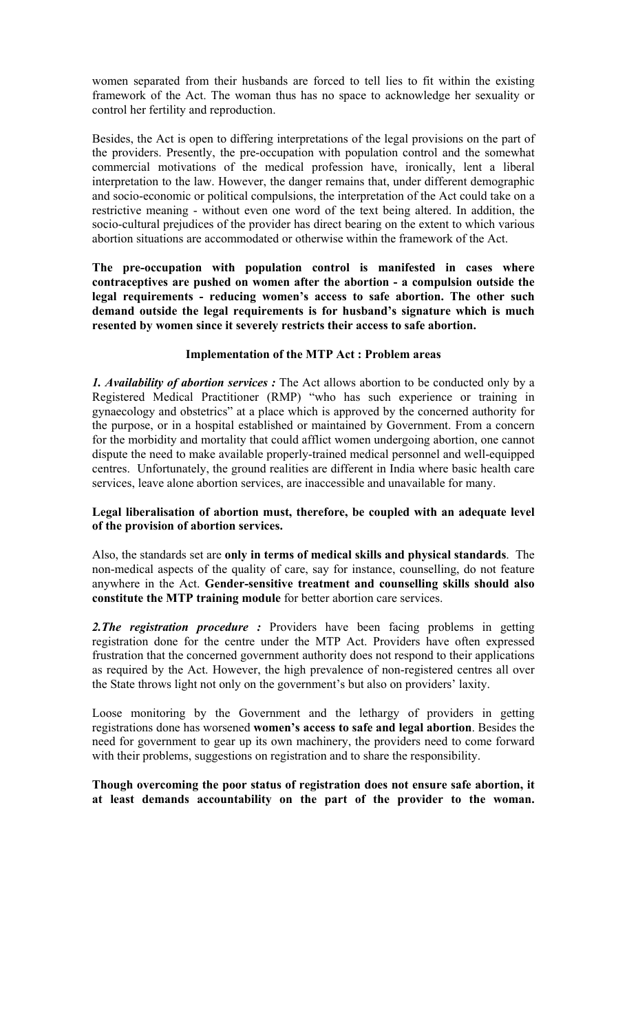women separated from their husbands are forced to tell lies to fit within the existing framework of the Act. The woman thus has no space to acknowledge her sexuality or control her fertility and reproduction.

Besides, the Act is open to differing interpretations of the legal provisions on the part of the providers. Presently, the pre-occupation with population control and the somewhat commercial motivations of the medical profession have, ironically, lent a liberal interpretation to the law. However, the danger remains that, under different demographic and socio-economic or political compulsions, the interpretation of the Act could take on a restrictive meaning - without even one word of the text being altered. In addition, the socio-cultural prejudices of the provider has direct bearing on the extent to which various abortion situations are accommodated or otherwise within the framework of the Act.

**The pre-occupation with population control is manifested in cases where contraceptives are pushed on women after the abortion - a compulsion outside the legal requirements - reducing women's access to safe abortion. The other such demand outside the legal requirements is for husband's signature which is much resented by women since it severely restricts their access to safe abortion.** 

#### **Implementation of the MTP Act : Problem areas**

*1. Availability of abortion services :* The Act allows abortion to be conducted only by a Registered Medical Practitioner (RMP) "who has such experience or training in gynaecology and obstetrics" at a place which is approved by the concerned authority for the purpose, or in a hospital established or maintained by Government. From a concern for the morbidity and mortality that could afflict women undergoing abortion, one cannot dispute the need to make available properly-trained medical personnel and well-equipped centres. Unfortunately, the ground realities are different in India where basic health care services, leave alone abortion services, are inaccessible and unavailable for many.

#### **Legal liberalisation of abortion must, therefore, be coupled with an adequate level of the provision of abortion services.**

Also, the standards set are **only in terms of medical skills and physical standards**. The non-medical aspects of the quality of care, say for instance, counselling, do not feature anywhere in the Act. **Gender-sensitive treatment and counselling skills should also constitute the MTP training module** for better abortion care services.

2. The registration procedure : Providers have been facing problems in getting registration done for the centre under the MTP Act. Providers have often expressed frustration that the concerned government authority does not respond to their applications as required by the Act. However, the high prevalence of non-registered centres all over the State throws light not only on the government's but also on providers' laxity.

Loose monitoring by the Government and the lethargy of providers in getting registrations done has worsened **women's access to safe and legal abortion**. Besides the need for government to gear up its own machinery, the providers need to come forward with their problems, suggestions on registration and to share the responsibility.

**Though overcoming the poor status of registration does not ensure safe abortion, it at least demands accountability on the part of the provider to the woman.**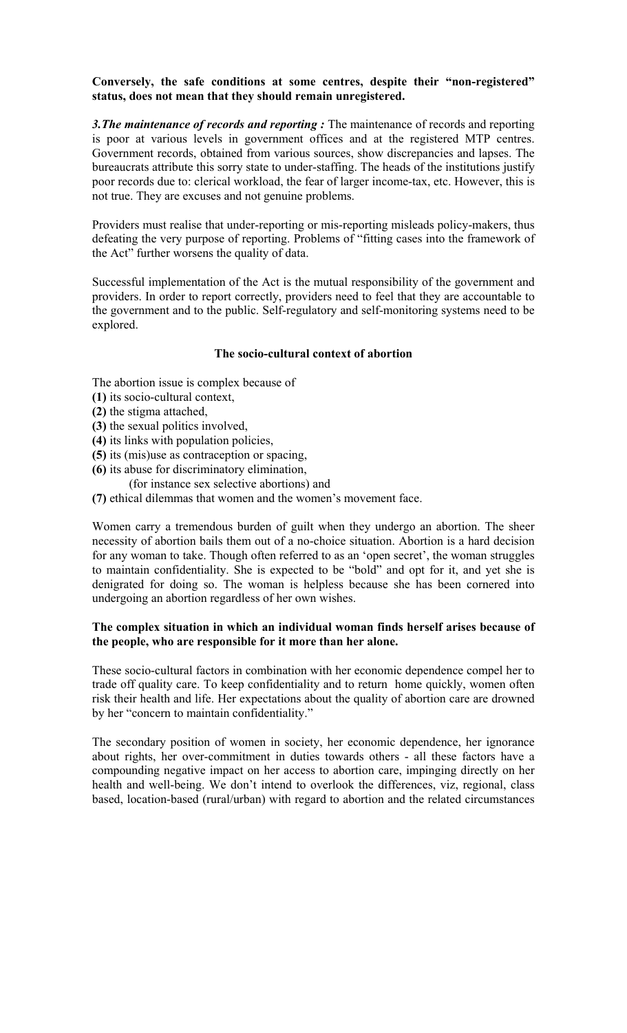### **Conversely, the safe conditions at some centres, despite their "non-registered" status, does not mean that they should remain unregistered.**

3. The maintenance of records and reporting : The maintenance of records and reporting is poor at various levels in government offices and at the registered MTP centres. Government records, obtained from various sources, show discrepancies and lapses. The bureaucrats attribute this sorry state to under-staffing. The heads of the institutions justify poor records due to: clerical workload, the fear of larger income-tax, etc. However, this is not true. They are excuses and not genuine problems.

Providers must realise that under-reporting or mis-reporting misleads policy-makers, thus defeating the very purpose of reporting. Problems of "fitting cases into the framework of the Act" further worsens the quality of data.

Successful implementation of the Act is the mutual responsibility of the government and providers. In order to report correctly, providers need to feel that they are accountable to the government and to the public. Self-regulatory and self-monitoring systems need to be explored.

#### **The socio-cultural context of abortion**

The abortion issue is complex because of

- **(1)** its socio-cultural context,
- **(2)** the stigma attached,
- **(3)** the sexual politics involved,
- **(4)** its links with population policies,
- **(5)** its (mis)use as contraception or spacing,
- **(6)** its abuse for discriminatory elimination,
	- (for instance sex selective abortions) and

**(7)** ethical dilemmas that women and the women's movement face.

Women carry a tremendous burden of guilt when they undergo an abortion. The sheer necessity of abortion bails them out of a no-choice situation. Abortion is a hard decision for any woman to take. Though often referred to as an 'open secret', the woman struggles to maintain confidentiality. She is expected to be "bold" and opt for it, and yet she is denigrated for doing so. The woman is helpless because she has been cornered into undergoing an abortion regardless of her own wishes.

#### **The complex situation in which an individual woman finds herself arises because of the people, who are responsible for it more than her alone.**

These socio-cultural factors in combination with her economic dependence compel her to trade off quality care. To keep confidentiality and to return home quickly, women often risk their health and life. Her expectations about the quality of abortion care are drowned by her "concern to maintain confidentiality."

The secondary position of women in society, her economic dependence, her ignorance about rights, her over-commitment in duties towards others - all these factors have a compounding negative impact on her access to abortion care, impinging directly on her health and well-being. We don't intend to overlook the differences, viz, regional, class based, location-based (rural/urban) with regard to abortion and the related circumstances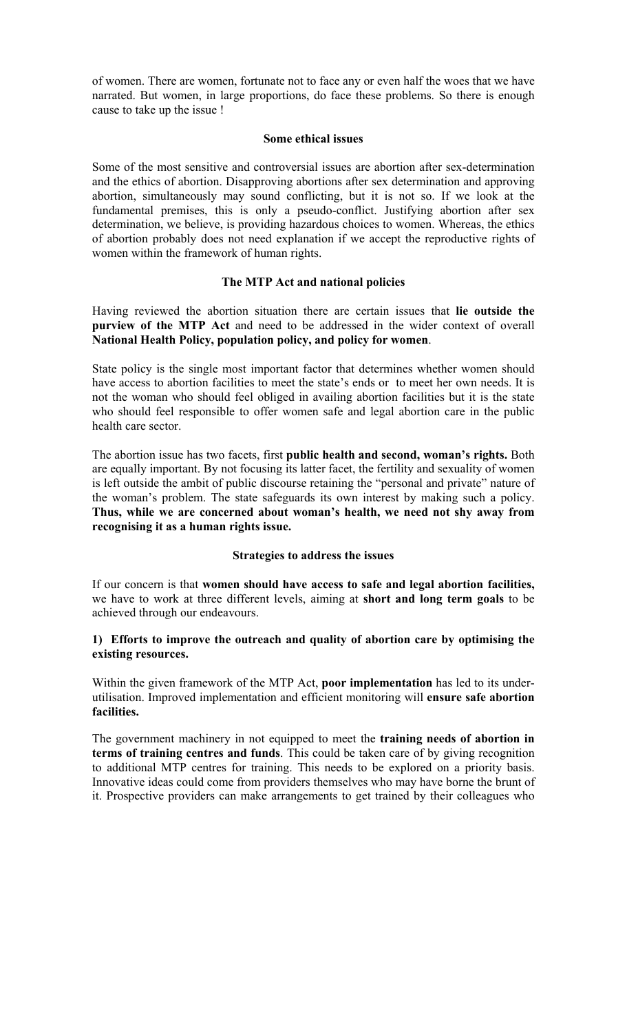of women. There are women, fortunate not to face any or even half the woes that we have narrated. But women, in large proportions, do face these problems. So there is enough cause to take up the issue !

#### **Some ethical issues**

Some of the most sensitive and controversial issues are abortion after sex-determination and the ethics of abortion. Disapproving abortions after sex determination and approving abortion, simultaneously may sound conflicting, but it is not so. If we look at the fundamental premises, this is only a pseudo-conflict. Justifying abortion after sex determination, we believe, is providing hazardous choices to women. Whereas, the ethics of abortion probably does not need explanation if we accept the reproductive rights of women within the framework of human rights.

## **The MTP Act and national policies**

Having reviewed the abortion situation there are certain issues that **lie outside the purview of the MTP Act** and need to be addressed in the wider context of overall **National Health Policy, population policy, and policy for women**.

State policy is the single most important factor that determines whether women should have access to abortion facilities to meet the state's ends or to meet her own needs. It is not the woman who should feel obliged in availing abortion facilities but it is the state who should feel responsible to offer women safe and legal abortion care in the public health care sector.

The abortion issue has two facets, first **public health and second, woman's rights.** Both are equally important. By not focusing its latter facet, the fertility and sexuality of women is left outside the ambit of public discourse retaining the "personal and private" nature of the woman's problem. The state safeguards its own interest by making such a policy. **Thus, while we are concerned about woman's health, we need not shy away from recognising it as a human rights issue.** 

#### **Strategies to address the issues**

If our concern is that **women should have access to safe and legal abortion facilities,** we have to work at three different levels, aiming at **short and long term goals** to be achieved through our endeavours.

#### **1) Efforts to improve the outreach and quality of abortion care by optimising the existing resources.**

Within the given framework of the MTP Act, **poor implementation** has led to its underutilisation. Improved implementation and efficient monitoring will **ensure safe abortion facilities.** 

The government machinery in not equipped to meet the **training needs of abortion in terms of training centres and funds**. This could be taken care of by giving recognition to additional MTP centres for training. This needs to be explored on a priority basis. Innovative ideas could come from providers themselves who may have borne the brunt of it. Prospective providers can make arrangements to get trained by their colleagues who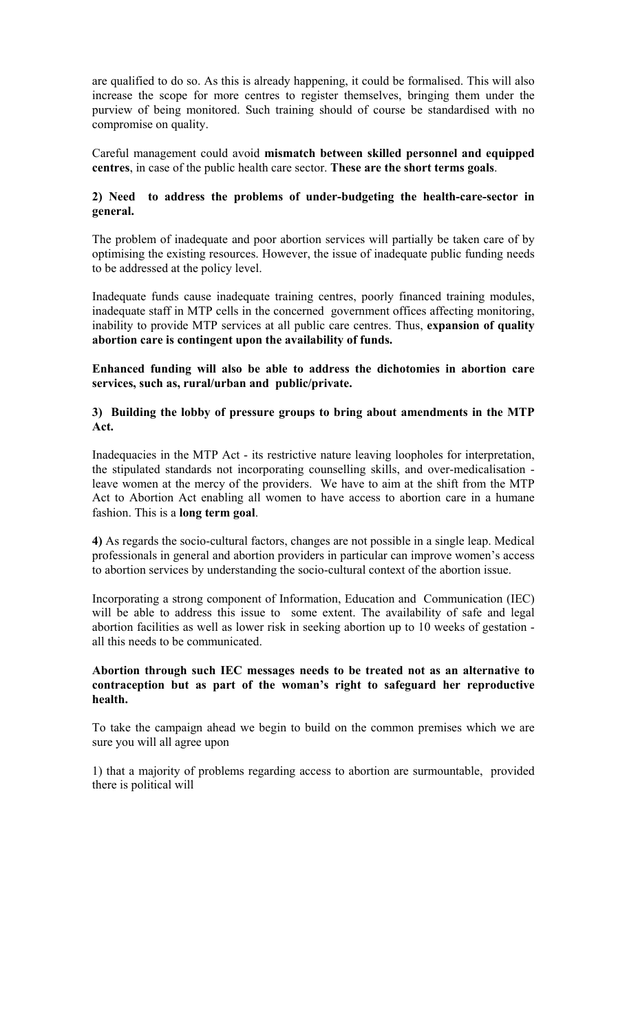are qualified to do so. As this is already happening, it could be formalised. This will also increase the scope for more centres to register themselves, bringing them under the purview of being monitored. Such training should of course be standardised with no compromise on quality.

Careful management could avoid **mismatch between skilled personnel and equipped centres**, in case of the public health care sector. **These are the short terms goals**.

### **2) Need to address the problems of under-budgeting the health-care-sector in general.**

The problem of inadequate and poor abortion services will partially be taken care of by optimising the existing resources. However, the issue of inadequate public funding needs to be addressed at the policy level.

Inadequate funds cause inadequate training centres, poorly financed training modules, inadequate staff in MTP cells in the concerned government offices affecting monitoring, inability to provide MTP services at all public care centres. Thus, **expansion of quality abortion care is contingent upon the availability of funds.** 

**Enhanced funding will also be able to address the dichotomies in abortion care services, such as, rural/urban and public/private.**

### **3) Building the lobby of pressure groups to bring about amendments in the MTP Act.**

Inadequacies in the MTP Act - its restrictive nature leaving loopholes for interpretation, the stipulated standards not incorporating counselling skills, and over-medicalisation leave women at the mercy of the providers. We have to aim at the shift from the MTP Act to Abortion Act enabling all women to have access to abortion care in a humane fashion. This is a **long term goal**.

**4)** As regards the socio-cultural factors, changes are not possible in a single leap. Medical professionals in general and abortion providers in particular can improve women's access to abortion services by understanding the socio-cultural context of the abortion issue.

Incorporating a strong component of Information, Education and Communication (IEC) will be able to address this issue to some extent. The availability of safe and legal abortion facilities as well as lower risk in seeking abortion up to 10 weeks of gestation all this needs to be communicated.

#### **Abortion through such IEC messages needs to be treated not as an alternative to contraception but as part of the woman's right to safeguard her reproductive health.**

To take the campaign ahead we begin to build on the common premises which we are sure you will all agree upon

1) that a majority of problems regarding access to abortion are surmountable, provided there is political will